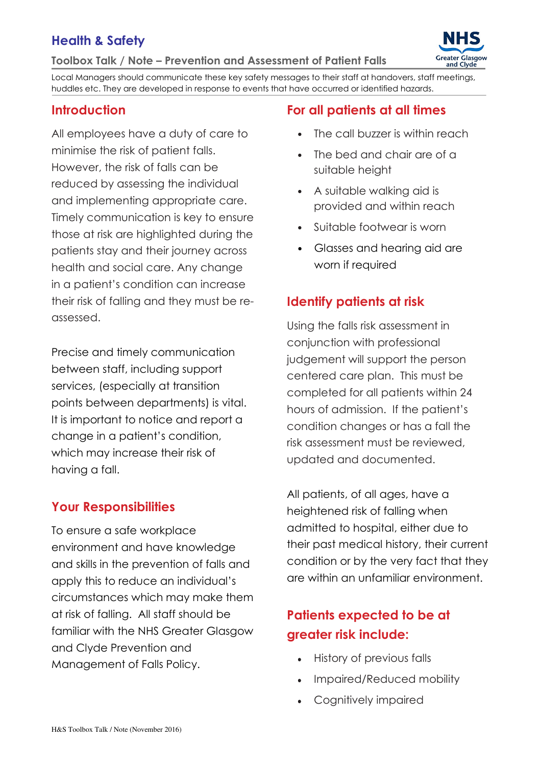## Health & Safety

Toolbox Talk / Note – Prevention and Assessment of Patient Falls



Local Managers should communicate these key safety messages to their staff at handovers, staff meetings, huddles etc. They are developed in response to events that have occurred or identified hazards.

### **Introduction**

All employees have a duty of care to minimise the risk of patient falls. However, the risk of falls can be reduced by assessing the individual and implementing appropriate care. Timely communication is key to ensure those at risk are highlighted during the patients stay and their journey across health and social care. Any change in a patient's condition can increase their risk of falling and they must be reassessed.

Precise and timely communication between staff, including support services, (especially at transition points between departments) is vital. It is important to notice and report a change in a patient's condition, which may increase their risk of having a fall.

### Your Responsibilities

To ensure a safe workplace environment and have knowledge and skills in the prevention of falls and apply this to reduce an individual's circumstances which may make them at risk of falling. All staff should be familiar with the NHS Greater Glasgow and Clyde Prevention and Management of Falls Policy.

### For all patients at all times

- The call buzzer is within reach
- The bed and chair are of a suitable height
- A suitable walking aid is provided and within reach
- Suitable footwear is worn
- Glasses and hearing aid are worn if required

### Identify patients at risk

Using the falls risk assessment in conjunction with professional judgement will support the person centered care plan. This must be completed for all patients within 24 hours of admission. If the patient's condition changes or has a fall the risk assessment must be reviewed, updated and documented.

All patients, of all ages, have a heightened risk of falling when admitted to hospital, either due to their past medical history, their current condition or by the very fact that they are within an unfamiliar environment.

## Patients expected to be at greater risk include:

- History of previous falls
- Impaired/Reduced mobility
- Cognitively impaired